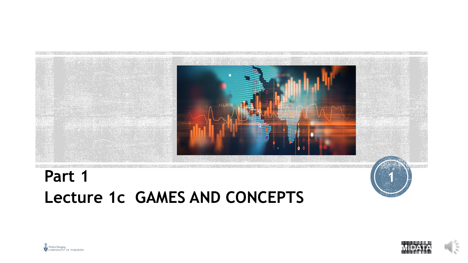

# **Part 1 1 Lecture 1c GAMES AND CONCEPTS**



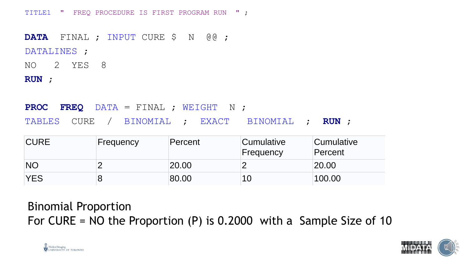TITLE1 " FREQ PROCEDURE IS FIRST PROGRAM RUN " ;

**DATA** FINAL ; INPUT CURE \$ N @@ ; DATALINES ; NO 2 YES 8

**RUN** ;

**PROC FREQ** DATA = FINAL ; WEIGHT N ; TABLES CURE / BINOMIAL ; EXACT BINOMIAL ; **RUN** ;

| <b>CURE</b> | Frequency | Percent | <b>Cumulative</b><br>Frequency | Cumulative<br>Percent |
|-------------|-----------|---------|--------------------------------|-----------------------|
| <b>NO</b>   |           | 20.00   |                                | 20.00                 |
| <b>YES</b>  |           | 80.00   | 10                             | 100.00                |

Binomial Proportion For CURE = NO the Proportion  $(P)$  is 0.2000 with a Sample Size of 10



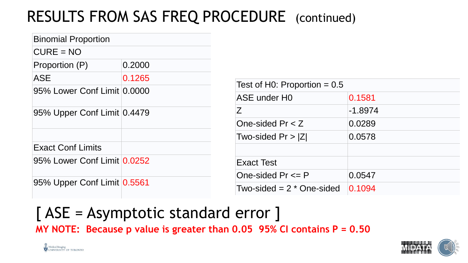# RESULTS FROM SAS FREQ PROCEDURE (continued)

| <b>Binomial Proportion</b>  |        |                                |           |  |
|-----------------------------|--------|--------------------------------|-----------|--|
| $CURE = NO$                 |        |                                |           |  |
| Proportion (P)              | 0.2000 |                                |           |  |
| <b>ASE</b>                  | 0.1265 |                                |           |  |
| 95% Lower Conf Limit 0.0000 |        | Test of H0: Proportion $= 0.5$ |           |  |
|                             |        | ASE under HO                   | 0.1581    |  |
| 95% Upper Conf Limit 0.4479 |        | Ζ                              | $-1.8974$ |  |
|                             |        | One-sided $Pr < Z$             | 0.0289    |  |
|                             |        | Two-sided $Pr >  Z $           | 0.0578    |  |
| <b>Exact Conf Limits</b>    |        |                                |           |  |
| 95% Lower Conf Limit 0.0252 |        | <b>Exact Test</b>              |           |  |
|                             |        | One-sided $Pr \leq P$          | 0.0547    |  |
| 95% Upper Conf Limit 0.5561 |        |                                |           |  |
|                             |        | Two-sided $= 2 *$ One-sided    | 0.1094    |  |

#### [ ASE = Asymptotic standard error ] **MY NOTE: Because p value is greater than 0.05 95% CI contains P = 0.50**



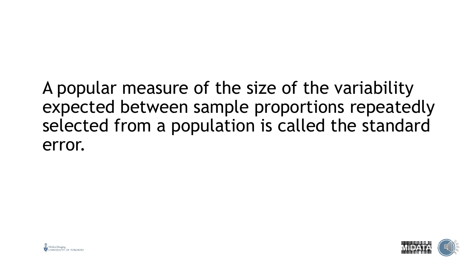# A popular measure of the size of the variability expected between sample proportions repeatedly selected from a population is called the standard error.



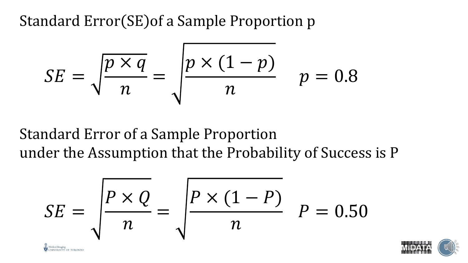Standard Error (SE) of a Sample Proportion p

Medical Imagin

NIVERSITY OF TORONTO

$$
SE = \sqrt{\frac{p \times q}{n}} = \sqrt{\frac{p \times (1 - p)}{n}} \quad p = 0.8
$$

### Standard Error of a Sample Proportion under the Assumption that the Probability of Success is P

$$
SE = \sqrt{\frac{P \times Q}{n}} = \sqrt{\frac{P \times (1 - P)}{n}} \quad P = 0.50
$$

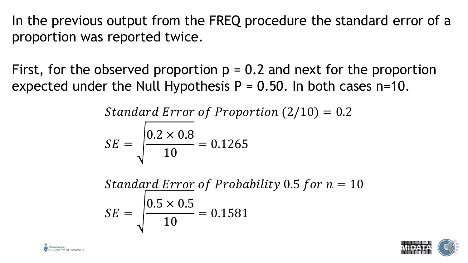In the previous output from the FREQ procedure the standard error of a proportion was reported twice.

First, for the observed proportion  $p = 0.2$  and next for the proportion expected under the Null Hypothesis  $P = 0.50$ . In both cases n=10.

Standard Error of Proportion  $(2/10) = 0.2$ 

$$
SE = \sqrt{\frac{0.2 \times 0.8}{10}} = 0.1265
$$

Standard Error of Probability 0.5 for 
$$
n = 10
$$
  
\n $SE = \sqrt{\frac{0.5 \times 0.5}{10}} = 0.1581$ 



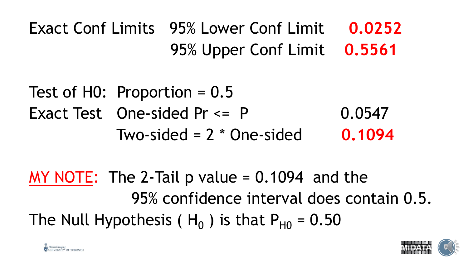Exact Conf Limits 95% Lower Conf Limit **0.0252** 95% Upper Conf Limit **0.5561**

Test of H0: Proportion = 0.5 Exact Test One-sided  $Pr \le P$  0.0547 Two-sided = 2 \* One-sided **0.1094**

MY NOTE: The 2-Tail p value  $= 0.1094$  and the 95% confidence interval does contain 0.5. The Null Hypothesis (  $H_0$  ) is that  $P_{H0}$  = 0.50



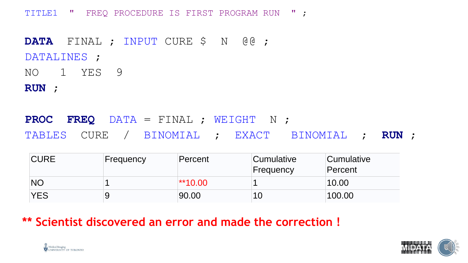TITLE1 " FREQ PROCEDURE IS FIRST PROGRAM RUN " ;

**DATA** FINAL ; INPUT CURE \$ N @@ ; DATALINES ; NO 1 YES 9

**RUN** ;

**PROC FREQ** DATA = FINAL ; WEIGHT N ; TABLES CURE / BINOMIAL ; EXACT BINOMIAL ; **RUN** ;

| <b>CURE</b> | Frequency | Percent   | <b>Cumulative</b><br>Frequency | Cumulative<br>Percent |
|-------------|-----------|-----------|--------------------------------|-----------------------|
| <b>NO</b>   |           | $**10.00$ |                                | 10.00                 |
| <b>YES</b>  |           | 90.00     | 10                             | 100.00                |

**\*\* Scientist discovered an error and made the correction !**



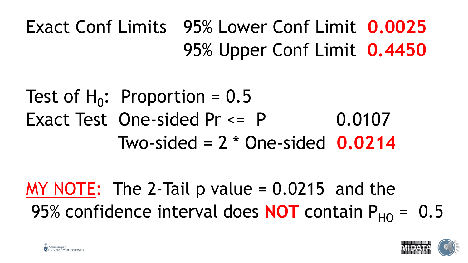Exact Conf Limits 95% Lower Conf Limit **0.0025** 95% Upper Conf Limit **0.4450**

Test of  $H_0$ : Proportion = 0.5 Exact Test One-sided  $Pr \le P$  0.0107 Two-sided = 2 \* One-sided **0.0214**

MY NOTE: The 2-Tail  $p$  value = 0.0215 and the 95% confidence interval does **NOT** contain  $P_{HO} = 0.5$ 



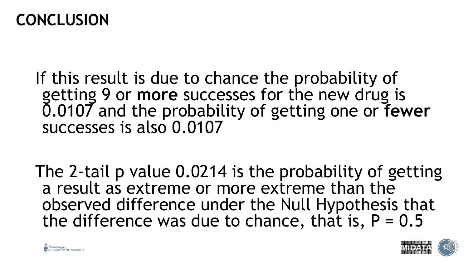#### **CONCLUSION**

- If this result is due to chance the probability of getting 9 or **more** successes for the new drug is 0.0107 and the probability of getting one or **fewer** successes is also 0.0107
- The 2-tail p value 0.0214 is the probability of getting a result as extreme or more extreme than the observed difference under the Null Hypothesis that the difference was due to chance, that is,  $P = 0.5$



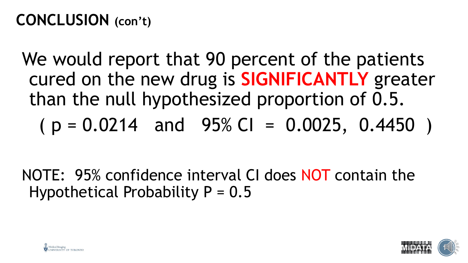## **CONCLUSION (con't)**

We would report that 90 percent of the patients cured on the new drug is **SIGNIFICANTLY** greater than the null hypothesized proportion of 0.5.

 $(p = 0.0214$  and 95% CI = 0.0025, 0.4450)

NOTE: 95% confidence interval CI does NOT contain the Hypothetical Probability  $P = 0.5$